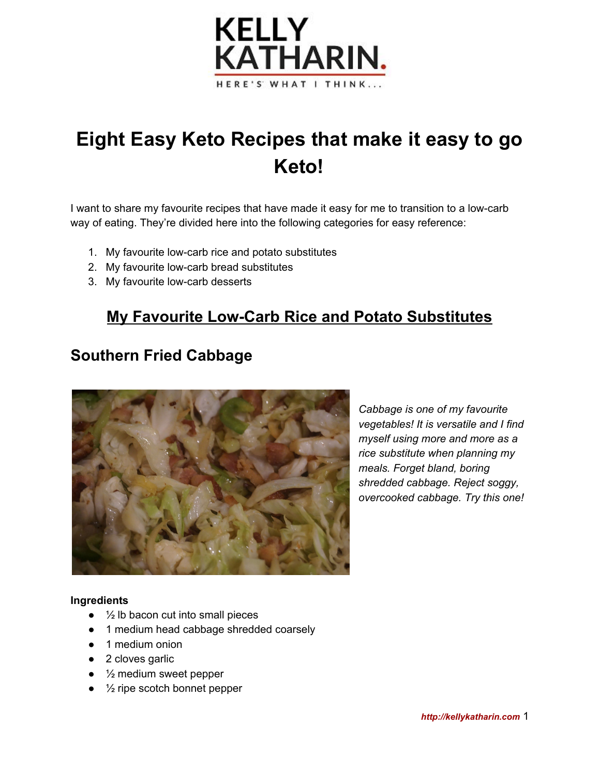

# **Eight Easy Keto Recipes that make it easy to go Keto!**

I want to share my favourite recipes that have made it easy for me to transition to a low-carb way of eating. They're divided here into the following categories for easy reference:

- 1. My favourite low-carb rice and potato substitutes
- 2. My favourite low-carb bread substitutes
- 3. My favourite low-carb desserts

# **My Favourite Low-Carb Rice and Potato Substitutes**

# **Southern Fried Cabbage**



*Cabbage is one of my favourite vegetables! It is versatile and I find myself using more and more as a rice substitute when planning my meals. Forget bland, boring shredded cabbage. Reject soggy, overcooked cabbage. Try this one!*

#### **Ingredients**

- $\bullet$   $\frac{1}{2}$  lb bacon cut into small pieces
- 1 medium head cabbage shredded coarsely
- 1 medium onion
- 2 cloves garlic
- $\bullet$   $\frac{1}{2}$  medium sweet pepper
- $\bullet$   $\frac{1}{2}$  ripe scotch bonnet pepper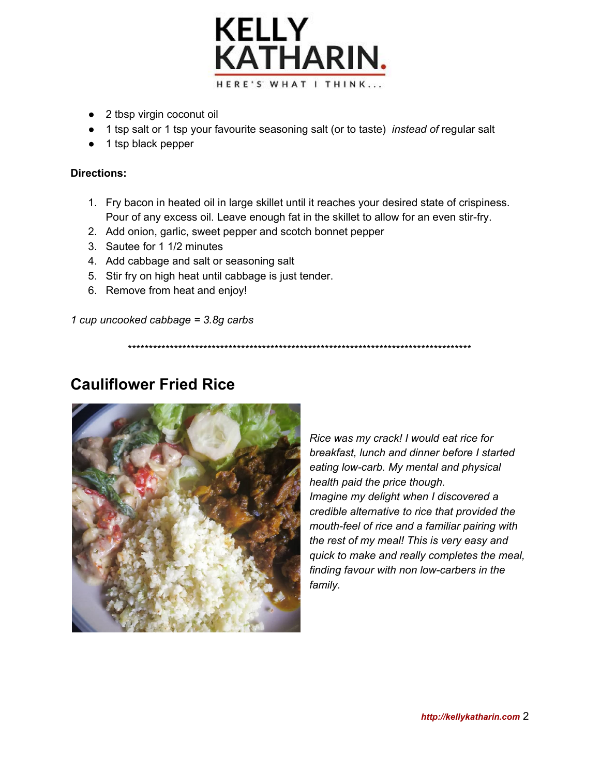

- 2 tbsp virgin coconut oil
- 1 tsp salt or 1 tsp your favourite seasoning salt (or to taste) *instead of* regular salt
- 1 tsp black pepper

#### **Directions:**

- 1. Fry bacon in heated oil in large skillet until it reaches your desired state of crispiness. Pour of any excess oil. Leave enough fat in the skillet to allow for an even stir-fry.
- 2. Add onion, garlic, sweet pepper and scotch bonnet pepper
- 3. Sautee for 1 1/2 minutes
- 4. Add cabbage and salt or seasoning salt
- 5. Stir fry on high heat until cabbage is just tender.
- 6. Remove from heat and enjoy!

*1 cup uncooked cabbage = 3.8g carbs*

\*\*\*\*\*\*\*\*\*\*\*\*\*\*\*\*\*\*\*\*\*\*\*\*\*\*\*\*\*\*\*\*\*\*\*\*\*\*\*\*\*\*\*\*\*\*\*\*\*\*\*\*\*\*\*\*\*\*\*\*\*\*\*\*\*\*\*\*\*\*\*\*\*\*\*\*\*\*\*\*\*\*

# **Cauliflower Fried Rice**



*Rice was my crack! I would eat rice for breakfast, lunch and dinner before I started eating low-carb. My mental and physical health paid the price though. Imagine my delight when I discovered a credible alternative to rice that provided the mouth-feel of rice and a familiar pairing with the rest of my meal! This is very easy and quick to make and really completes the meal, finding favour with non low-carbers in the family.*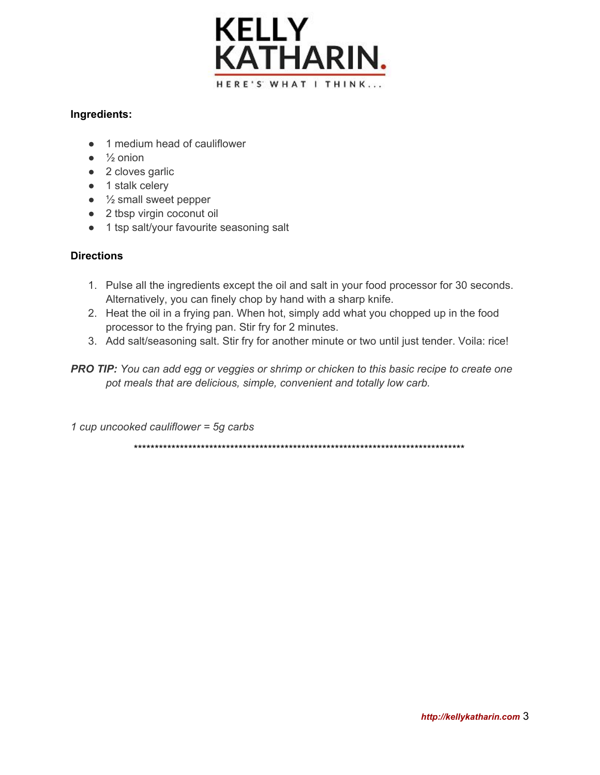

#### **Ingredients:**

- 1 medium head of cauliflower
- $\bullet$   $\frac{1}{2}$  onion
- 2 cloves garlic
- 1 stalk celery
- $\bullet$   $\frac{1}{2}$  small sweet pepper
- 2 tbsp virgin coconut oil
- 1 tsp salt/your favourite seasoning salt

#### **Directions**

- 1. Pulse all the ingredients except the oil and salt in your food processor for 30 seconds. Alternatively, you can finely chop by hand with a sharp knife.
- 2. Heat the oil in a frying pan. When hot, simply add what you chopped up in the food processor to the frying pan. Stir fry for 2 minutes.
- 3. Add salt/seasoning salt. Stir fry for another minute or two until just tender. Voila: rice!
- *PRO TIP: You can add egg or veggies or shrimp or chicken to this basic recipe to create one pot meals that are delicious, simple, convenient and totally low carb.*

*1 cup uncooked cauliflower = 5g carbs*

\*\*\*\*\*\*\*\*\*\*\*\*\*\*\*\*\*\*\*\*\*\*\*\*\*\*\*\*\*\*\*\*\*\*\*\*\*\*\*\*\*\*\*\*\*\*\*\*\*\*\*\*\*\*\*\*\*\*\*\*\*\*\*\*\*\*\*\*\*\*\*\*\*\*\*\*\*\*\*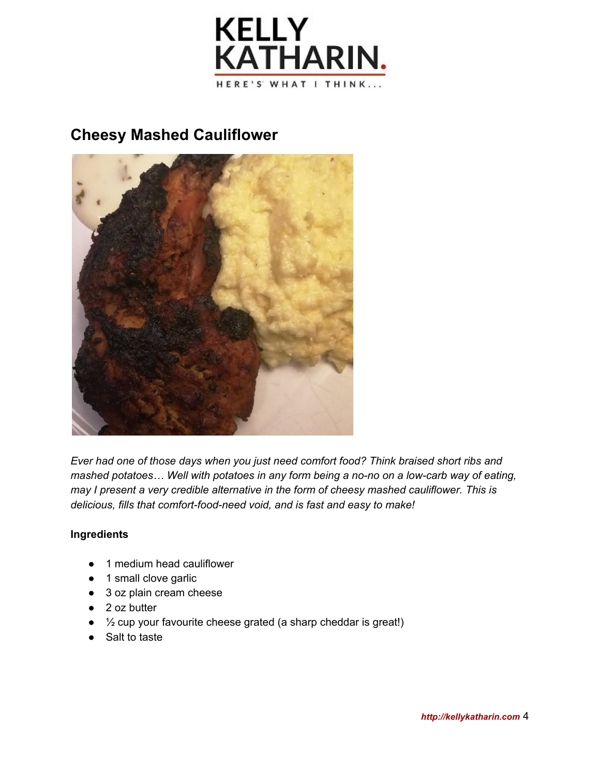

# **Cheesy Mashed Cauliflower**



*Ever had one of those days when you just need comfort food? Think braised short ribs and mashed potatoes… Well with potatoes in any form being a no-no on a low-carb way of eating, may I present a very credible alternative in the form of cheesy mashed cauliflower. This is delicious, fills that comfort-food-need void, and is fast and easy to make!*

#### **Ingredients**

- 1 medium head cauliflower
- 1 small clove garlic
- 3 oz plain cream cheese
- 2 oz butter
- $\bullet$   $\frac{1}{2}$  cup your favourite cheese grated (a sharp cheddar is great!)
- Salt to taste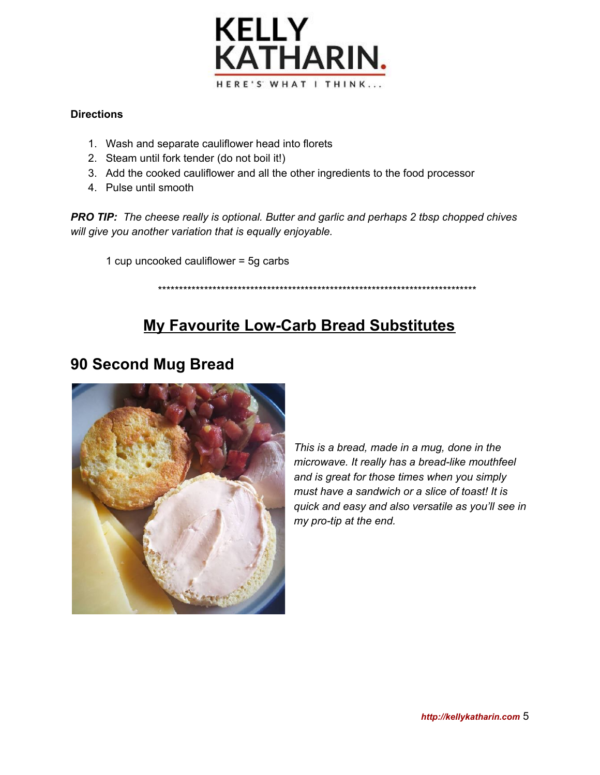

#### **Directions**

- 1. Wash and separate cauliflower head into florets
- 2. Steam until fork tender (do not boil it!)
- 3. Add the cooked cauliflower and all the other ingredients to the food processor
- 4. Pulse until smooth

*PRO TIP: The cheese really is optional. Butter and garlic and perhaps 2 tbsp chopped chives will give you another variation that is equally enjoyable.*

1 cup uncooked cauliflower = 5g carbs

#### \*\*\*\*\*\*\*\*\*\*\*\*\*\*\*\*\*\*\*\*\*\*\*\*\*\*\*\*\*\*\*\*\*\*\*\*\*\*\*\*\*\*\*\*\*\*\*\*\*\*\*\*\*\*\*\*\*\*\*\*\*\*\*\*\*\*\*\*\*\*\*\*\*\*\*\*

# **My Favourite Low-Carb Bread Substitutes**

### **90 Second Mug Bread**



*This is a bread, made in a mug, done in the microwave. It really has a bread-like mouthfeel and is great for those times when you simply must have a sandwich or a slice of toast! It is quick and easy and also versatile as you'll see in my pro-tip at the end.*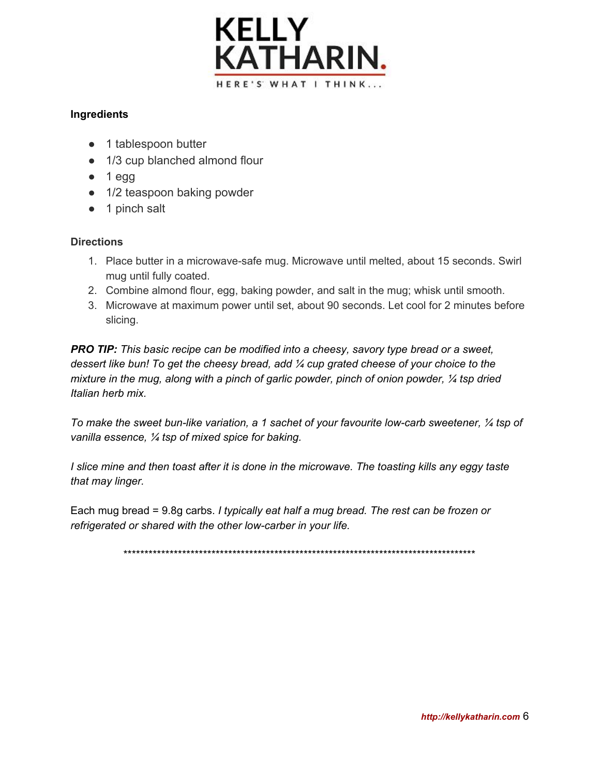

#### **Ingredients**

- 1 tablespoon butter
- 1/3 cup blanched almond flour
- $\bullet$  1 egg
- 1/2 teaspoon baking powder
- 1 pinch salt

#### **Directions**

- 1. Place butter in a microwave-safe mug. Microwave until melted, about 15 seconds. Swirl mug until fully coated.
- 2. Combine almond flour, egg, baking powder, and salt in the mug; whisk until smooth.
- 3. Microwave at maximum power until set, about 90 seconds. Let cool for 2 minutes before slicing.

*PRO TIP: T his basic recipe can be modified into a cheesy, savory type bread or a sweet, dessert like bun! To get the cheesy bread, add ¼ cup grated cheese of your choice to the mixture in the mug, along with a pinch of garlic powder, pinch of onion powder, ¼ tsp dried Italian herb mix.*

*To make the sweet bun-like variation, a 1 sachet of your favourite low-carb sweetener, ¼ tsp of vanilla essence, ¼ tsp of mixed spice for baking.*

I slice mine and then toast after it is done in the microwave. The toasting kills any eggy taste *that may linger.*

Each mug bread = 9.8g carbs. *I typically eat half a mug bread. The rest can be frozen or refrigerated or shared with the other low-carber in your life.*

\*\*\*\*\*\*\*\*\*\*\*\*\*\*\*\*\*\*\*\*\*\*\*\*\*\*\*\*\*\*\*\*\*\*\*\*\*\*\*\*\*\*\*\*\*\*\*\*\*\*\*\*\*\*\*\*\*\*\*\*\*\*\*\*\*\*\*\*\*\*\*\*\*\*\*\*\*\*\*\*\*\*\*\*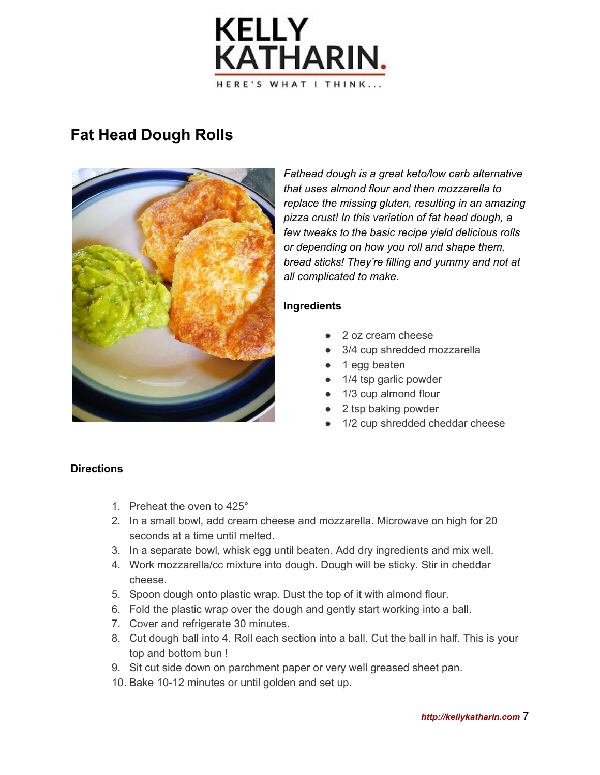

# **Fat Head Dough Rolls**



*Fathead dough is a great keto/low carb alternative that uses almond flour and then mozzarella to replace the missing gluten, resulting in an amazing pizza crust! In this variation of fat head dough, a few tweaks to the basic recipe yield delicious rolls or depending on how you roll and shape them, bread sticks! They're filling and yummy and not at all complicated to make.*

#### **Ingredients**

- 2 oz cream cheese
- 3/4 cup shredded mozzarella
- 1 egg beaten
- 1/4 tsp garlic powder
- 1/3 cup almond flour
- 2 tsp baking powder
- 1/2 cup shredded cheddar cheese

#### **Directions**

- 1. Preheat the oven to 425°
- 2. In a small bowl, add cream cheese and mozzarella. Microwave on high for 20 seconds at a time until melted.
- 3. In a separate bowl, whisk egg until beaten. Add dry ingredients and mix well.
- 4. Work mozzarella/cc mixture into dough. Dough will be sticky. Stir in cheddar cheese.
- 5. Spoon dough onto plastic wrap. Dust the top of it with almond flour.
- 6. Fold the plastic wrap over the dough and gently start working into a ball.
- 7. Cover and refrigerate 30 minutes.
- 8. Cut dough ball into 4. Roll each section into a ball. Cut the ball in half. This is your top and bottom bun !
- 9. Sit cut side down on parchment paper or very well greased sheet pan.
- 10. Bake 10-12 minutes or until golden and set up.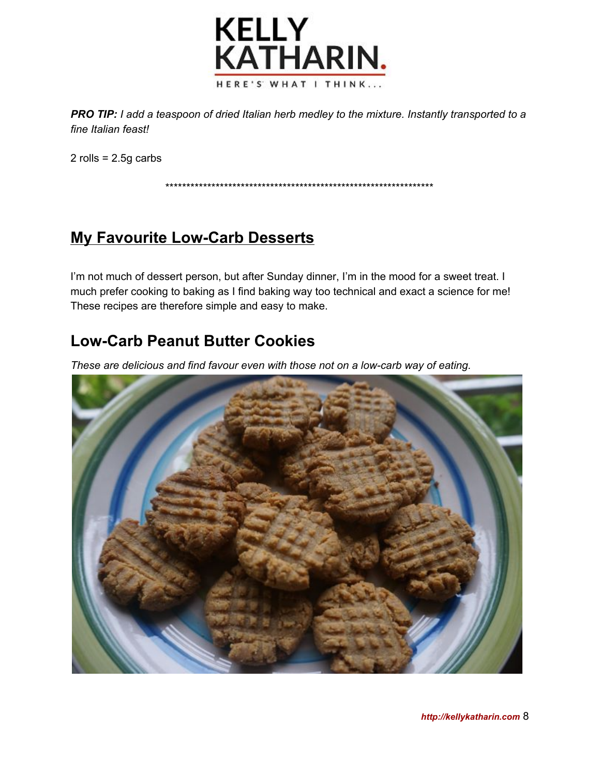

*PRO TIP: I add a teaspoon of dried Italian herb medley to the mixture. Instantly transported to a fine Italian feast!*

2 rolls =  $2.5g$  carbs

\*\*\*\*\*\*\*\*\*\*\*\*\*\*\*\*\*\*\*\*\*\*\*\*\*\*\*\*\*\*\*\*\*\*\*\*\*\*\*\*\*\*\*\*\*\*\*\*\*\*\*\*\*\*\*\*\*\*\*\*\*\*\*\*

# **My Favourite Low-Carb Desserts**

I'm not much of dessert person, but after Sunday dinner, I'm in the mood for a sweet treat. I much prefer cooking to baking as I find baking way too technical and exact a science for me! These recipes are therefore simple and easy to make.

# **Low-Carb Peanut Butter Cookies**

*These are delicious and find favour even with those not on a low-carb way of eating.*

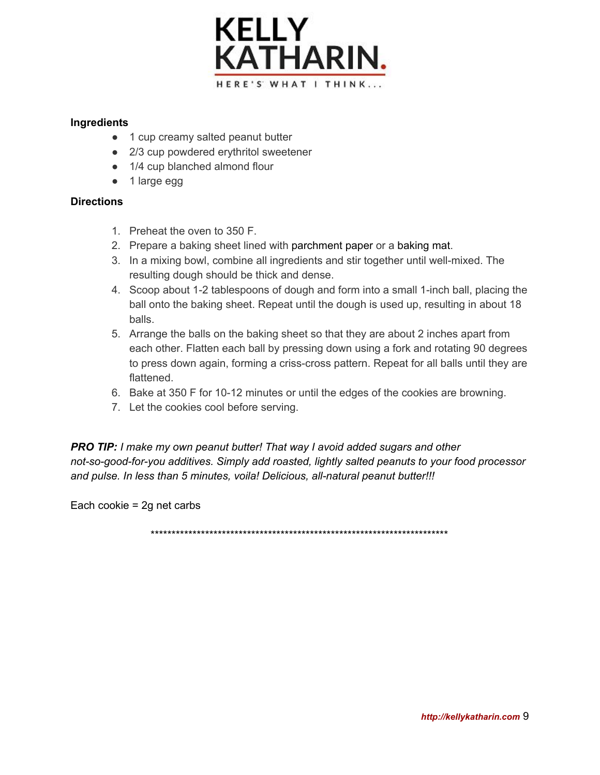

#### **Ingredients**

- 1 cup creamy salted peanut butter
- 2/3 cup powdered erythritol sweetener
- 1/4 cup blanched almond flour
- 1 large egg

#### **Directions**

- 1. Preheat the oven to 350 F.
- 2. Prepare a baking sheet lined with [parchment](https://amzn.to/2jInuZ3) paper or a [baking](https://amzn.to/2wknid1) mat.
- 3. In a mixing bowl, combine all ingredients and stir together until well-mixed. The resulting dough should be thick and dense.
- 4. Scoop about 1-2 tablespoons of dough and form into a small 1-inch ball, placing the ball onto the baking sheet. Repeat until the dough is used up, resulting in about 18 balls.
- 5. Arrange the balls on the baking sheet so that they are about 2 inches apart from each other. Flatten each ball by pressing down using a fork and rotating 90 degrees to press down again, forming a criss-cross pattern. Repeat for all balls until they are flattened.
- 6. Bake at 350 F for 10-12 minutes or until the edges of the cookies are browning.
- 7. Let the cookies cool before serving.

*PRO TIP: I make my own peanut butter! That way I avoid added sugars and other not-so-good-for-you additives. Simply add roasted, lightly salted peanuts to your food processor and pulse. In less than 5 minutes, voila! Delicious, all-natural peanut butter!!!*

Each cookie = 2g net carbs

\*\*\*\*\*\*\*\*\*\*\*\*\*\*\*\*\*\*\*\*\*\*\*\*\*\*\*\*\*\*\*\*\*\*\*\*\*\*\*\*\*\*\*\*\*\*\*\*\*\*\*\*\*\*\*\*\*\*\*\*\*\*\*\*\*\*\*\*\*\*\*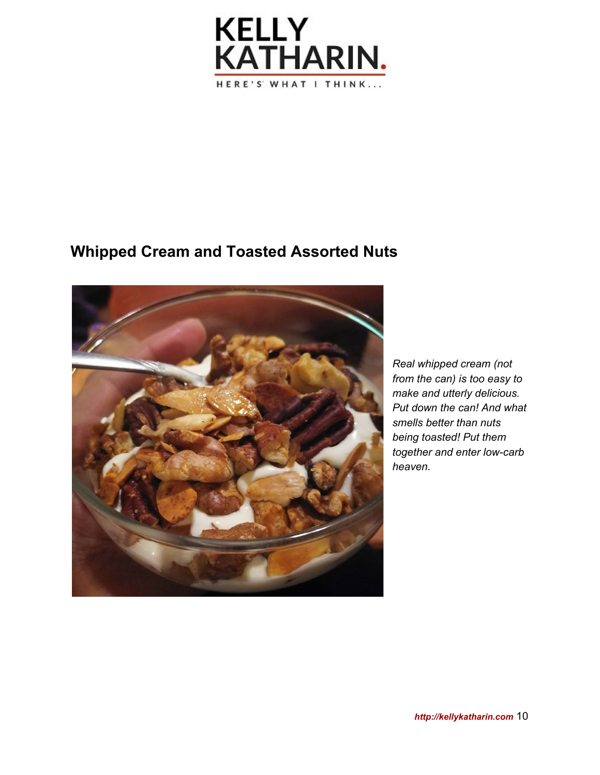

### **Whipped Cream and Toasted Assorted Nuts**



*Real whipped cream (not from the can) is too easy to make and utterly delicious. Put down the can! And what smells better than nuts being toasted! Put them together and enter low-carb heaven.*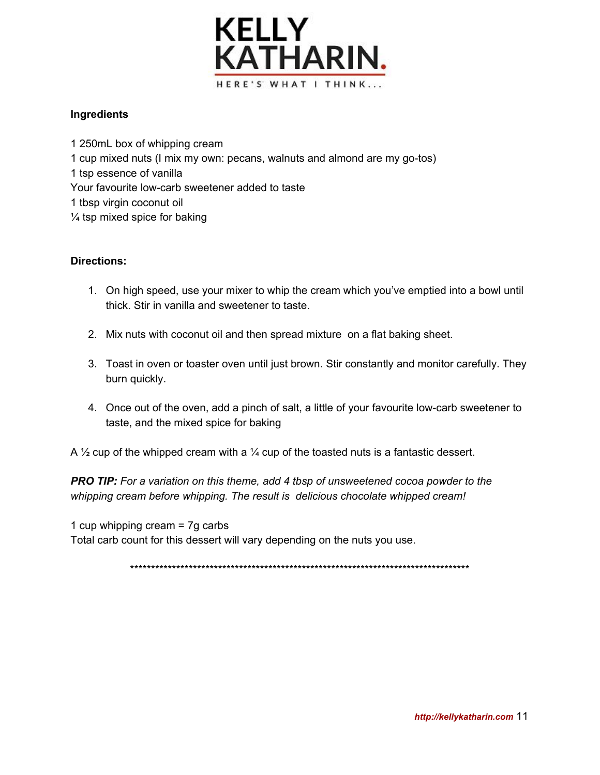

#### **Ingredients**

 250mL box of whipping cream cup mixed nuts (I mix my own: pecans, walnuts and almond are my go-tos) tsp essence of vanilla Your favourite low-carb sweetener added to taste tbsp virgin coconut oil ¼ tsp mixed spice for baking

#### **Directions:**

- 1. On high speed, use your mixer to whip the cream which you've emptied into a bowl until thick. Stir in vanilla and sweetener to taste.
- 2. Mix nuts with coconut oil and then spread mixture on a flat baking sheet.
- 3. Toast in oven or toaster oven until just brown. Stir constantly and monitor carefully. They burn quickly.
- 4. Once out of the oven, add a pinch of salt, a little of your favourite low-carb sweetener to taste, and the mixed spice for baking

A  $\frac{1}{2}$  cup of the whipped cream with a  $\frac{1}{4}$  cup of the toasted nuts is a fantastic dessert.

*PRO TIP: For a variation on this theme, add 4 tbsp of unsweetened cocoa powder to the whipping cream before whipping. The result is delicious chocolate whipped cream!*

1 cup whipping cream = 7g carbs Total carb count for this dessert will vary depending on the nuts you use.

\*\*\*\*\*\*\*\*\*\*\*\*\*\*\*\*\*\*\*\*\*\*\*\*\*\*\*\*\*\*\*\*\*\*\*\*\*\*\*\*\*\*\*\*\*\*\*\*\*\*\*\*\*\*\*\*\*\*\*\*\*\*\*\*\*\*\*\*\*\*\*\*\*\*\*\*\*\*\*\*\*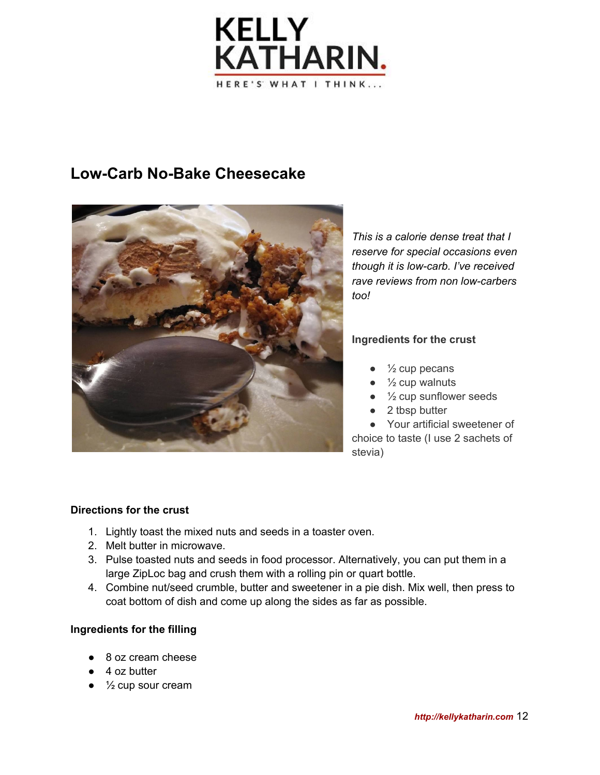

### **Low-Carb No-Bake Cheesecake**



*This is a calorie dense treat that I reserve for special occasions even though it is low-carb. I've received rave reviews from non low-carbers too!*

#### **Ingredients for the crust**

- $\bullet\quad$  1/<sub>2</sub> cup pecans
- $\bullet$   $\frac{1}{2}$  cup walnuts
- $\bullet$   $\frac{1}{2}$  cup sunflower seeds
- 2 tbsp butter

● Your artificial sweetener of choice to taste (I use 2 sachets of stevia)

#### **Directions for the crust**

- 1. Lightly toast the mixed nuts and seeds in a toaster oven.
- 2. Melt butter in microwave.
- 3. Pulse toasted nuts and seeds in food processor. Alternatively, you can put them in a large ZipLoc bag and crush them with a rolling pin or quart bottle.
- 4. Combine nut/seed crumble, butter and sweetener in a pie dish. Mix well, then press to coat bottom of dish and come up along the sides as far as possible.

#### **Ingredients for the filling**

- 8 oz cream cheese
- 4 oz butter
- $\bullet$   $\frac{1}{2}$  cup sour cream